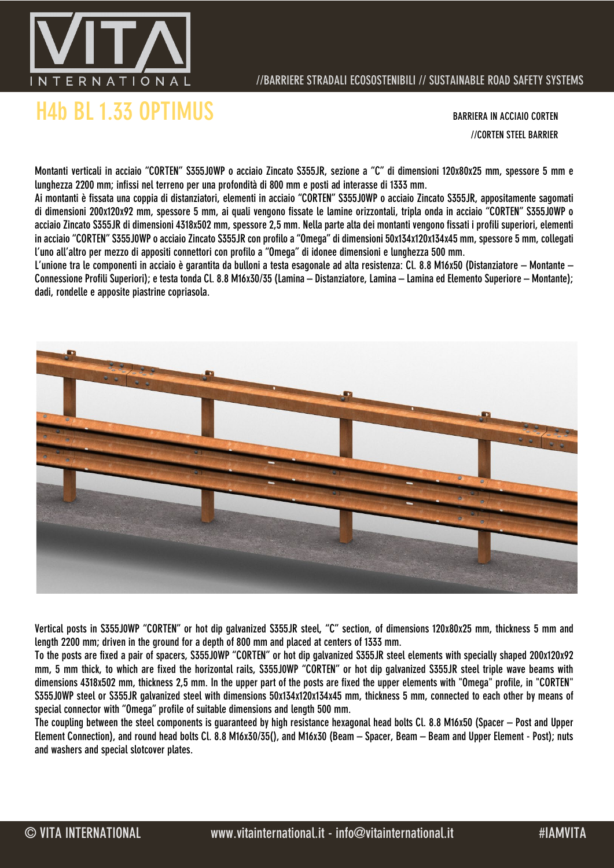

## //BARRIERE STRADALI ECOSOSTENIBILI // SUSTAINABLE ROAD SAFETY SYSTEMS

//CORTEN STEEL BARRIER

Montanti verticali in acciaio "CORTEN" S355J0WP o acciaio Zincato S355JR, sezione a "C" di dimensioni 120x80x25 mm, spessore 5 mm e lunghezza 2200 mm; infissi nel terreno per una profondità di 800 mm e posti ad interasse di 1333 mm.

Ai montanti è fissata una coppia di distanziatori, elementi in acciaio "CORTEN" S355J0WP o acciaio Zincato S355JR, appositamente sagomati di dimensioni 200x120x92 mm, spessore 5 mm, ai quali vengono fissate le lamine orizzontali, tripla onda in acciaio "CORTEN" S355J0WP o acciaio Zincato S355JR di dimensioni 4318x502 mm, spessore 2,5 mm. Nella parte alta dei montanti vengono fissati i profili superiori, elementi in acciaio "CORTEN" S355J0WP o acciaio Zincato S355JR con profilo a "Omega" di dimensioni 50x134x120x134x45 mm, spessore 5 mm, collegati l'uno all'altro per mezzo di appositi connettori con profilo a "Omega" di idonee dimensioni e lunghezza 500 mm.

L'unione tra le componenti in acciaio è garantita da bulloni a testa esagonale ad alta resistenza: Cl. 8.8 M16x50 (Distanziatore – Montante – Connessione Profili Superiori); e testa tonda Cl. 8.8 M16x30/35 (Lamina – Distanziatore, Lamina – Lamina ed Elemento Superiore – Montante); dadi, rondelle e apposite piastrine copriasola.



Vertical posts in S355J0WP "CORTEN" or hot dip galvanized S355JR steel, "C" section, of dimensions 120x80x25 mm, thickness 5 mm and length 2200 mm; driven in the ground for a depth of 800 mm and placed at centers of 1333 mm.

To the posts are fixed a pair of spacers, S355J0WP "CORTEN" or hot dip galvanized S355JR steel elements with specially shaped 200x120x92 mm, 5 mm thick, to which are fixed the horizontal rails, S355J0WP "CORTEN" or hot dip galvanized S355JR steel triple wave beams with dimensions 4318x502 mm, thickness 2,5 mm. In the upper part of the posts are fixed the upper elements with "Omega" profile, in "CORTEN" S355J0WP steel or S355JR galvanized steel with dimensions 50x134x120x134x45 mm, thickness 5 mm, connected to each other by means of special connector with "Omega" profile of suitable dimensions and length 500 mm.

The coupling between the steel components is guaranteed by high resistance hexagonal head bolts Cl. 8.8 M16x50 (Spacer – Post and Upper Element Connection), and round head bolts Cl. 8.8 M16x30/35(), and M16x30 (Beam – Spacer, Beam – Beam and Upper Element - Post); nuts and washers and special slotcover plates.